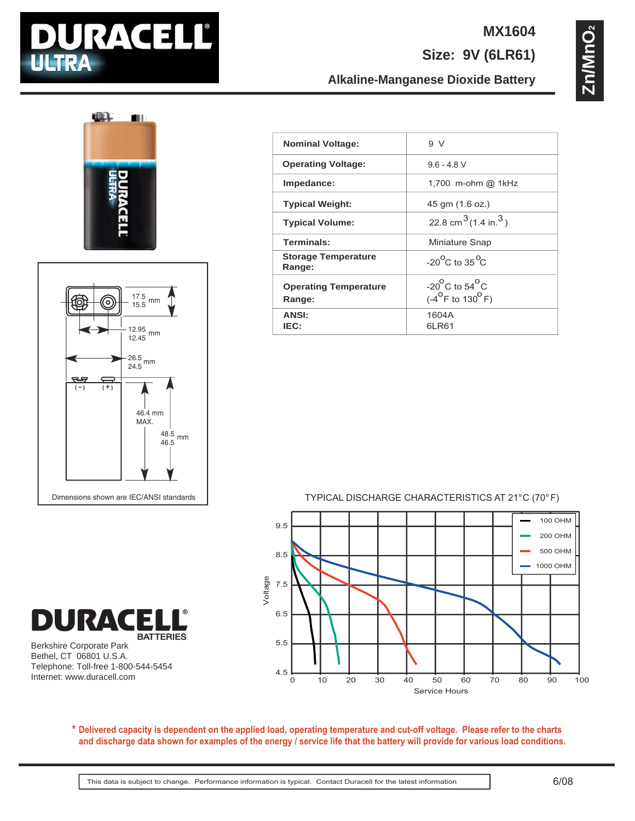

### **MX1604**

**Size: 9V (6LR61)**

**Zn/MnO2** Zn/MnO

# **TILL**  $\blacksquare$



| <b>Nominal Voltage:</b>                | 9 <sub>Y</sub>                                                               |
|----------------------------------------|------------------------------------------------------------------------------|
| <b>Operating Voltage:</b>              | $96 - 48V$                                                                   |
| Impedance:                             | 1,700 m-ohm @ 1kHz                                                           |
| <b>Typical Weight:</b>                 | 45 gm (1.6 oz.)                                                              |
| <b>Typical Volume:</b>                 | 22.8 cm <sup>3</sup> $(1.4 \text{ in.}^3)$                                   |
| Terminals:                             | Miniature Snap                                                               |
| <b>Storage Temperature</b><br>Range:   | $-20^{\circ}$ C to 35 $^{\circ}$ C                                           |
| <b>Operating Temperature</b><br>Range: | $-20^{\circ}$ C to 54 $^{\circ}$ C<br>$(-4^{\circ}$ F to 130 <sup>o</sup> F) |
| <b>ANSI:</b><br>IEC:                   | 1604A<br>6LR61                                                               |
|                                        |                                                                              |

**Alkaline-Manganese Dioxide Battery**

TYPICAL DISCHARGE CHARACTERISTICS AT 21°C (70° F)



Berkshire Corporate Park Bethel, CT 06801 U.S.A. Telephone: Toll-free 1-800-544-5454 Internet: www.duracell.com

**BATTERIES** 

**DURACE** 

**Delivered capacity is dependent on the applied load, operating temperature and cut-off voltage. Please refer to the charts \* and discharge data shown for examples of the energy / service life that the battery will provide for various load conditions.**